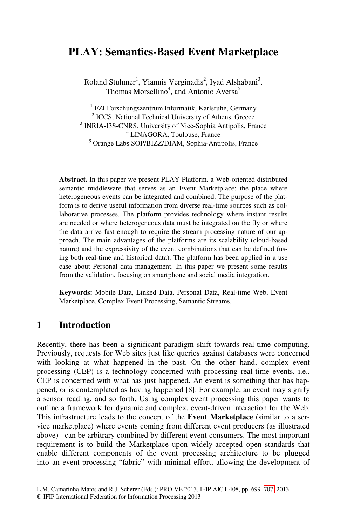# **PLAY: Semantics-Based Event Marketplace**

Roland Stühmer<sup>1</sup>, Yiannis Verginadis<sup>2</sup>, Iyad Alshabani<sup>3</sup>, Thomas Morsellino<sup>4</sup>, and Antonio Aversa<sup>5</sup>

1 FZI Forschungszentrum Informatik, Karlsruhe, Germany <sup>2</sup> ICCS, National Technical University of Athens, Greece <sup>2</sup> ICCS, National Technical University of Athens, Greece <sup>3</sup> INRIA-I3S-CNRS. University of Nice-Sophia Antipolis, Fra INRIA-I3S-CNRS, University of Nice-Sophia Antipolis, France<br><sup>4</sup> LINAGORA, Toulouse, France LINAGORA, Toulouse, France 5 Orange Labs SOP/BIZZ/DIAM, Sophia-Antipolis, France

**Abstract.** In this paper we present PLAY Platform, a Web-oriented distributed semantic middleware that serves as an Event Marketplace: the place where heterogeneous events can be integrated and combined. The purpose of the platform is to derive useful information from diverse real-time sources such as collaborative processes. The platform provides technology where instant results are needed or where heterogeneous data must be integrated on the fly or where the data arrive fast enough to require the stream processing nature of our approach. The main advantages of the platforms are its scalability (cloud-based nature) and the expressivity of the event combinations that can be defined (using both real-time and historical data). The platform has been applied in a use case about Personal data management. In this paper we present some results from the validation, focusing on smartphone and social media integration.

**Keywords:** Mobile Data, Linked Data, Personal Data, Real-time Web, Event Marketplace, Complex Event Processing, Semantic Streams.

## **1 Introduction**

Recently, there has been a significant paradigm shift towards real-time computing. Previously, requests for Web sites just like queries against databases were concerned with looking at what happened in the past. On the other hand, complex event processing (CEP) is a technology concerned with processing real-time events, i.e., CEP is concerned with what has just happened. An event is something that has happened, or is contemplated as having happened [8]. For example, an event may signify a sensor reading, and so forth. Using complex event processing this paper wants to outline a framework for dynamic and complex, event-driven interaction for the Web. This infrastructure leads to the concept of the **Eve[nt M](#page-8-0)arketplace** (similar to a service marketplace) where events coming from different event producers (as illustrated above) can be arbitrary combined by different event consumers. The most important requirement is to build the Marketplace upon widely-accepted open standards that enable different components of the event processing architecture to be plugged into an event-processing "fabric" with minimal effort, allowing the development of

L.M. Camarinha-Matos and R.J. Scherer (Eds.): PRO-VE 2013, IFIP AICT 408, pp. 699–707, 2013. © IFIP International Federation for Information Processing 2013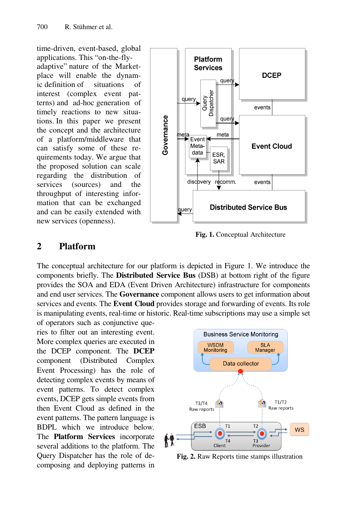time-driven, event-based, global

applications. This "on-the-flyadaptive" nature of the Marketplace will enable the dynam-<br>ic definition of situations of ic definition of situations of interest (complex event patterns) and ad-hoc generation of timely reactions to new situations. In this paper we present the concept and the architecture of a platform/middleware that can satisfy some of these requirements today. We argue that the proposed solution can scale regarding the distribution of services (sources) and the throughput of interesting information that can be exchanged and can be easily extended with new services (openness).



**Fig. 1.** Conceptual Architecture

# **2 Platform**

The conceptual architecture for our platform is depicted in Figure 1. We introduce the components briefly. The **Distributed Service Bus** (DSB) at bottom right of the figure provides the SOA and EDA (Event Driven Architecture) infrastructure for components and end user services. The **Governance** component allows users to get information about services and events. The **Event Cloud** provides storage and forwarding of events. Its role is manipulating events, real-time or historic. Real-time subscriptions may use a simple set

of operators such as conjunctive queries to filter out an interesting event. More complex queries are executed in the DCEP component. The **DCEP** component (Distributed Complex Event Processing) has the role of detecting complex events by means of event patterns. To detect complex events, DCEP gets simple events from then Event Cloud as defined in the event patterns. The pattern language is BDPL which we introduce below. The **Platform Services** incorporate several additions to the platform. The Query Dispatcher has the role of decomposing and deploying patterns in



**Fig. 2.** Raw Reports time stamps illustration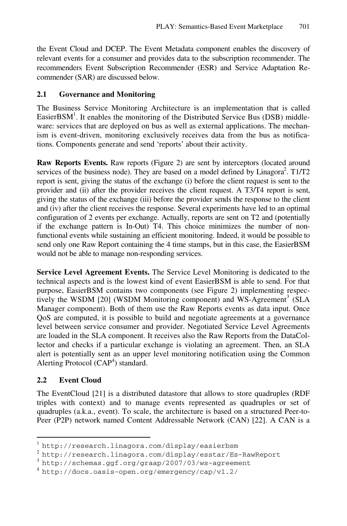the Event Cloud and DCEP. The Event Metadata component enables the discovery of relevant events for a consumer and provides data to the subscription recommender. The recommenders Event Subscription Recommender (ESR) and Service Adaptation Recommender (SAR) are discussed below.

### **2.1 Governance and Monitoring**

The Business Service Monitoring Architecture is an implementation that is called EasierBSM<sup>1</sup>. It enables the monitoring of the Distributed Service Bus (DSB) middleware: services that are deployed on bus as well as external applications. The mechanism is event-driven, monitoring exclusively receives data from the bus as notifications. Components generate and send 'reports' about their activity.

**Raw Reports Events.** Raw reports (Figure 2) are sent by interceptors (located around services of the business node). They are based on a model defined by Linagora<sup>2</sup>. T1/T2 report is sent, giving the status of the exchange (i) before the client request is sent to the provider and (ii) after the provider receives the client request. A T3/T4 report is sent, giving the status of the exchange (iii) before the provider sends the response to the client and (iv) after the client receives the response. Several experiments have led to an optimal configuration of 2 events per exchange. Actually, reports are sent on T2 and (potentially if the exchange pattern is In-Out) T4. This choice minimizes the number of nonfunctional events while sustaining an efficient monitoring. Indeed, it would be possible to send only one Raw Report containing the 4 time stamps, but in this case, the EasierBSM would not be able to manage non-responding services.

**Service Level Agreement Events.** The Service Level Monitoring is dedicated to the technical aspects and is the lowest kind of event EasierBSM is able to send. For that purpose, EasierBSM contains two components (see Figure 2) implementing respectively the WSDM [20] (WSDM Monitoring component) and WS-Agreement<sup>3</sup> (SLA Manager component). Both of them use the Raw Reports events as data input. Once QoS are computed, it is possible to build and negotiate agreements at a governance level between service consumer and provider. Negotiated Service Level Agreements are loaded in the SLA component. It receives also the Raw Reports from the DataCollector and checks if a particular exchange is violating an agreement. Then, an SLA alert is potentially sent as an upper level monitoring notification using the Common Alerting Protocol  $(CAP<sup>4</sup>)$  standard.

#### **2.2 Event Cloud**

-

The EventCloud [21] is a distributed datastore that allows to store quadruples (RDF triples with context) and to manage events represented as quadruples or set of quadruples (a.k.a., event). To scale, the architecture is based on a structured Peer-to-Peer (P2P) network named Content Addressable Network (CAN) [22]. A CAN is a

<sup>&</sup>lt;sup>1</sup> http://research.linagora.com/display/easierbsm

 $2$  http://research.linagora.com/display/esstar/Es-RawReport

 $3$  http://schemas.ggf.org/graap/2007/03/ws-agreement

<sup>4</sup> http://docs.oasis-open.org/emergency/cap/v1.2/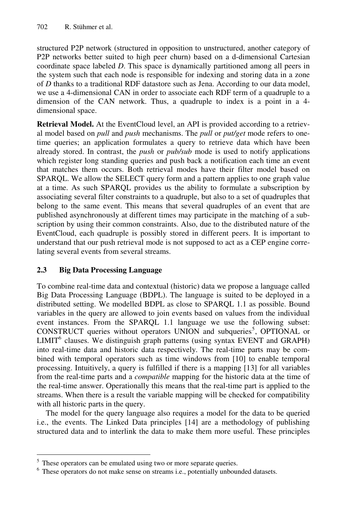structured P2P network (structured in opposition to unstructured, another category of P2P networks better suited to high peer churn) based on a d-dimensional Cartesian coordinate space labeled *D*. This space is dynamically partitioned among all peers in the system such that each node is responsible for indexing and storing data in a zone of *D* thanks to a traditional RDF datastore such as Jena. According to our data model, we use a 4-dimensional CAN in order to associate each RDF term of a quadruple to a dimension of the CAN network. Thus, a quadruple to index is a point in a 4 dimensional space.

**Retrieval Model.** At the EventCloud level, an API is provided according to a retrieval model based on *pull* and *push* mechanisms. The *pull* or *put/get* mode refers to onetime queries; an application formulates a query to retrieve data which have been already stored. In contrast, the *push* or *pub/sub* mode is used to notify applications which register long standing queries and push back a notification each time an event that matches them occurs. Both retrieval modes have their filter model based on SPARQL. We allow the SELECT query form and a pattern applies to one graph value at a time. As such SPARQL provides us the ability to formulate a subscription by associating several filter constraints to a quadruple, but also to a set of quadruples that belong to the same event. This means that several quadruples of an event that are published asynchronously at different times may participate in the matching of a subscription by using their common constraints. Also, due to the distributed nature of the EventCloud, each quadruple is possibly stored in different peers. It is important to understand that our push retrieval mode is not supposed to act as a CEP engine correlating several events from several streams.

## **2.3 Big Data Processing Language**

j

To combine real-time data and contextual (historic) data we propose a language called Big Data Processing Language (BDPL). The language is suited to be deployed in a distributed setting. We modelled BDPL as close to SPARQL 1.1 as possible. Bound variables in the query are allowed to join events based on values from the individual event instances. From the SPARQL 1.1 language we use the following subset: CONSTRUCT queries without operators UNION and subqueries<sup>5</sup>, OPTIONAL or  $LIMIT<sup>6</sup>$  clauses. We distinguish graph patterns (using syntax EVENT and GRAPH) into real-time data and historic data respectively. The real-time parts may be combined with temporal operators such as time windows from [10] to enable temporal processing. Intuitively, a query is fulfilled if there is a mapping [13] for all variables from the real-time parts and a *compatible* mapping for the historic data at the time of the real-time answer. Operationally this means that the real-time part is applied to the streams. When there is a result the variable mapping will be checked for compatibility with all historic parts in the query.

The model for the query language also requires a model for the data to be queried i.e., the events. The Linked Data principles [14] are a methodology of publishing structured data and to interlink the data to make them more useful. These principles

<sup>&</sup>lt;sup>5</sup> These operators can be emulated using two or more separate queries.

<sup>&</sup>lt;sup>6</sup> These operators do not make sense on streams i.e., potentially unbounded datasets.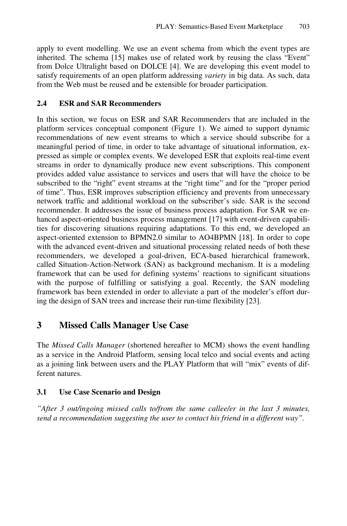apply to event modelling. We use an event schema from which the event types are inherited. The schema [15] makes use of related work by reusing the class "Event" from Dolce Ultralight based on DOLCE [4]. We are developing this event model to satisfy requirements of an open platform addressing *variety* in big data. As such, data from the Web must be reused and be extensible for broader participation.

### **2.4 ESR and SAR Recommenders**

In this section, we focus on ESR and SAR Recommenders that are included in the platform services conceptual component (Figure 1). We aimed to support dynamic recommendations of new event streams to which a service should subscribe for a meaningful period of time, in order to take advantage of situational information, expressed as simple or complex events. We developed ESR that exploits real-time event streams in order to dynamically produce new event subscriptions. This component provides added value assistance to services and users that will have the choice to be subscribed to the "right" event streams at the "right time" and for the "proper period of time". Thus, ESR improves subscription efficiency and prevents from unnecessary network traffic and additional workload on the subscriber's side. SAR is the second recommender. It addresses the issue of business process adaptation. For SAR we enhanced aspect-oriented business process management [17] with event-driven capabilities for discovering situations requiring adaptations. To this end, we developed an aspect-oriented extension to BPMN2.0 similar to AO4BPMN [18]. In order to cope with the advanced event-driven and situational processing related needs of both these recommenders, we developed a goal-driven, ECA-based hierarchical framework, called Situation-Action-Network (SAN) as background mechanism. It is a modeling framework that can be used for defining systems' reactions to significant situations with the purpose of fulfilling or satisfying a goal. Recently, the SAN modeling framework has been extended in order to alleviate a part of the modeler's effort during the design of SAN trees and increase their run-time flexibility [23].

# **3 Missed Calls Manager Use Case**

The *Missed Calls Manager* (shortened hereafter to MCM) shows the event handling as a service in the Android Platform, sensing local telco and social events and acting as a joining link between users and the PLAY Platform that will "mix" events of different natures.

### **3.1 Use Case Scenario and Design**

*"After 3 out/ingoing missed calls to/from the same callee/er in the last 3 minutes, send a recommendation suggesting the user to contact his friend in a different way".*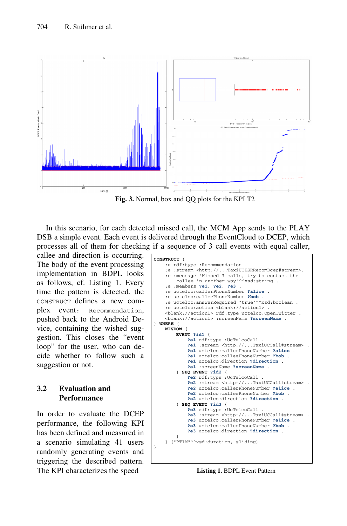

**Fig. 3.** Normal, box and QQ plots for the KPI T2

In this scenario, for each detected missed call, the MCM App sends to the PLAY DSB a simple event. Each event is delivered through the EventCloud to DCEP, which processes all of them for checking if a sequence of 3 call events with equal caller,

callee and direction is occurring. The body of the event processing implementation in BDPL looks as follows, cf. Listing 1. Every time the pattern is detected, the CONSTRUCT defines a new complex event: Recommendation, pushed back to the Android Device, containing the wished suggestion. This closes the "event loop" for the user, who can decide whether to follow such a suggestion or not.

#### **3.2 Evaluation and Performance**

In order to evaluate the DCEP performance, the following KPI has been defined and measured in a scenario simulating 41 users randomly generating events and triggering the described pattern. The KPI characterizes the speed

| <b>CONSTRUCT {</b>                                          |
|-------------------------------------------------------------|
| :e rdf:type :Recommendation .                               |
| :e :stream <http: taxiucesrrecomdcep#stream="">.</http:>    |
| :e : message "Missed 3 calls, try to contact the            |
| callee in another way"^^xsd:string.                         |
| :e :members ?e1, ?e2, ?e3 .                                 |
| :e uctelco:callerPhoneNumber ?alice.                        |
| :e uctelco:calleePhoneNumber ?bob .                         |
| :e uctelco:answerRequired "true"^^xsd:boolean .             |
| :e uctelco:action <blank: action1=""> .</blank:>            |
| <blank: action1=""> rdf:type uctelco:OpenTwitter .</blank:> |
| <blank: action1=""> :screenName ?screenName .</blank:>      |
| WHERE {                                                     |
| WINDOW {                                                    |
| <b>EVENT ?id1 {</b>                                         |
| ?e1 rdf:type : UcTelcoCall .                                |
| ?e1 :stream <http: taxiuccall#stream=""> .</http:>          |
| ?e1 uctelco:callerPhoneNumber ?alice .                      |
| ?e1 uctelco:calleePhoneNumber ?bob .                        |
| ?e1 uctelco:direction ?direction .                          |
| ?e1 :screenName ?screenName .                               |
| SEO EVENT ?id2 {                                            |
| ?e2 rdf:type :UcTelcoCall .                                 |
| ?e2 :stream <http: taxiuccall#stream=""> .</http:>          |
| ?e2 uctelco:callerPhoneNumber ?alice.                       |
| ?e2 uctelco:calleePhoneNumber ?bob .                        |
| ?e2 uctelco:direction ?direction .                          |
| SEO EVENT ?id3 {                                            |
| ?e3 rdf:type : UcTelcoCall .                                |
| ?e3 :stream <http: taxiuccall#stream=""> .</http:>          |
| ?e3 uctelco:callerPhoneNumber ?alice .                      |
| ?e3 uctelco:calleePhoneNumber ?bob .                        |
| ?e3 uctelco:direction ?direction .                          |
| λ                                                           |
| { ("PT1M"^^xsd:duration, sliding)                           |
| ł                                                           |
|                                                             |
|                                                             |

**Listing 1.** BDPL Event Pattern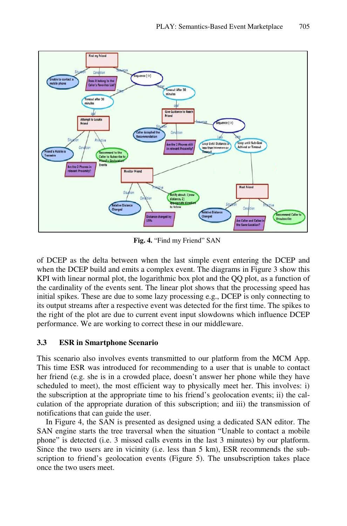

**Fig. 4.** "Find my Friend" SAN

of DCEP as the delta between when the last simple event entering the DCEP and when the DCEP build and emits a complex event. The diagrams in Figure 3 show this KPI with linear normal plot, the logarithmic box plot and the QQ plot, as a function of the cardinality of the events sent. The linear plot shows that the processing speed has initial spikes. These are due to some lazy processing e.g., DCEP is only connecting to its output streams after a respective event was detected for the first time. The spikes to the right of the plot are due to current event input slowdowns which influence DCEP performance. We are working to correct these in our middleware.

#### **3.3 ESR in Smartphone Scenario**

This scenario also involves events transmitted to our platform from the MCM App. This time ESR was introduced for recommending to a user that is unable to contact her friend (e.g. she is in a crowded place, doesn't answer her phone while they have scheduled to meet), the most efficient way to physically meet her. This involves: i) the subscription at the appropriate time to his friend's geolocation events; ii) the calculation of the appropriate duration of this subscription; and iii) the transmission of notifications that can guide the user.

In Figure 4, the SAN is presented as designed using a dedicated SAN editor. The SAN engine starts the tree traversal when the situation "Unable to contact a mobile phone" is detected (i.e. 3 missed calls events in the last 3 minutes) by our platform. Since the two users are in vicinity (i.e. less than 5 km), ESR recommends the subscription to friend's geolocation events (Figure 5). The unsubscription takes place once the two users meet.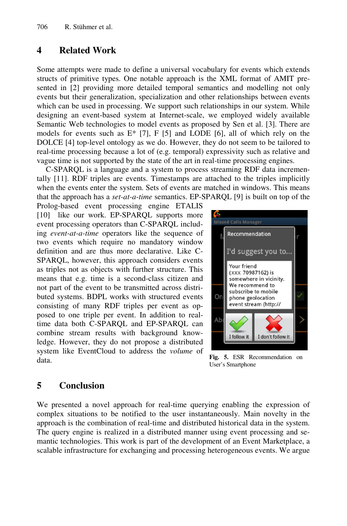## **4 Related Work**

Some attempts were made to define a universal vocabulary for events which extends structs of primitive types. One notable approach is the XML format of AMIT presented in [2] providing more detailed temporal semantics and modelling not only events but their generalization, specialization and other relationships between events which can be used in processing. We support such relationships in our system. While designing an event-based system at Internet-scale, we employed widely available Semantic Web technologies to model events as proposed by Sen et al. [3]. There are models for events such as  $E^*$  [7], F [5] and LODE [6], all of which rely on the DOLCE [4] top-level ontology as we do. However, they do not seem to be tailored to real-time processing because a lot of (e.g. temporal) expressivity such as relative and vague time is not supported by the state of the art in real-time processing engines.

C-SPARQL is a language and a system to process streaming RDF data incrementally [11]. RDF triples are events. Timestamps are attached to the triples implicitly when the events enter the system. Sets of events are matched in windows. This means that the approach has a *set-at-a-time* semantics. EP-SPARQL [9] is built on top of the

Prolog-based event processing engine ETALIS [10] like our work. EP-SPARQL supports more event processing operators than C-SPARQL including *event-at-a-time* operators like the sequence of two events which require no mandatory window definition and are thus more declarative. Like C-SPARQL, however, this approach considers events as triples not as objects with further structure. This means that e.g. time is a second-class citizen and not part of the event to be transmitted across distributed systems. BDPL works with structured events consisting of many RDF triples per event as opposed to one triple per event. In addition to realtime data both C-SPARQL and EP-SPARQL can combine stream results with background knowledge. However, they do not propose a distributed system like EventCloud to address the *volume* of data.



**Fig. 5.** ESR Recommendation on User's Smartphone

## **5 Conclusion**

We presented a novel approach for real-time querying enabling the expression of complex situations to be notified to the user instantaneously. Main novelty in the approach is the combination of real-time and distributed historical data in the system. The query engine is realized in a distributed manner using event processing and semantic technologies. This work is part of the development of an Event Marketplace, a scalable infrastructure for exchanging and processing heterogeneous events. We argue